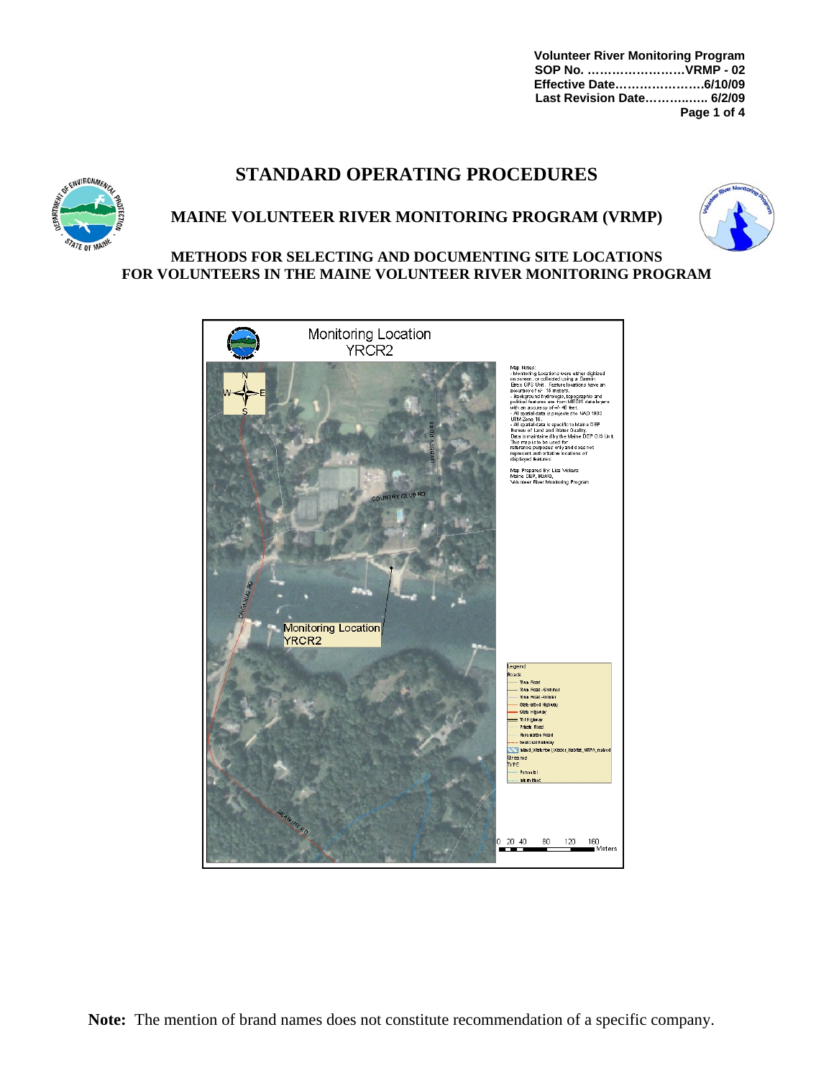**Volunteer River Monitoring Program SOP No. ……………………VRMP - 02 Effective Date………………….6/10/09 Last Revision Date………..….. 6/2/09 Page 1 of 4** 

# **STANDARD OPERATING PROCEDURES**



### **MAINE VOLUNTEER RIVER MONITORING PROGRAM (VRMP)**



#### **METHODS FOR SELECTING AND DOCUMENTING SITE LOCATIONS FOR VOLUNTEERS IN THE MAINE VOLUNTEER RIVER MONITORING PROGRAM**

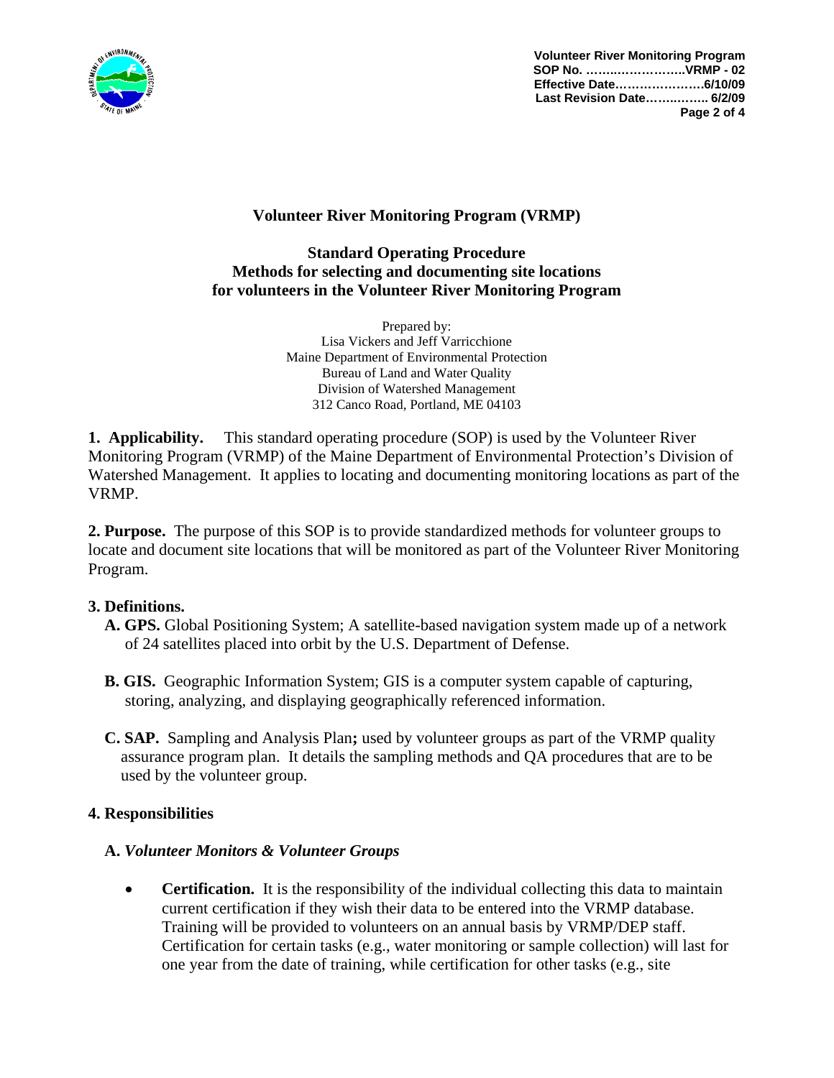![](_page_1_Picture_0.jpeg)

**Volunteer River Monitoring Program SOP No. ……..……………..VRMP - 02 Effective Date………………….6/10/09 Last Revision Date……..…….. 6/2/09 Page 2 of 4**

## **Volunteer River Monitoring Program (VRMP)**

### **Standard Operating Procedure Methods for selecting and documenting site locations for volunteers in the Volunteer River Monitoring Program**

Prepared by: Lisa Vickers and Jeff Varricchione Maine Department of Environmental Protection Bureau of Land and Water Quality Division of Watershed Management 312 Canco Road, Portland, ME 04103

**1. Applicability.** This standard operating procedure (SOP) is used by the Volunteer River Monitoring Program (VRMP) of the Maine Department of Environmental Protection's Division of Watershed Management. It applies to locating and documenting monitoring locations as part of the VRMP.

**2. Purpose.** The purpose of this SOP is to provide standardized methods for volunteer groups to locate and document site locations that will be monitored as part of the Volunteer River Monitoring Program.

### **3. Definitions.**

- **A. GPS.** Global Positioning System; A satellite-based navigation system made up of a network of 24 satellites placed into orbit by the U.S. Department of Defense.
- **B. GIS.** Geographic Information System; GIS is a computer system capable of capturing, storing, analyzing, and displaying geographically referenced information.
- **C. SAP.** Sampling and Analysis Plan**;** used by volunteer groups as part of the VRMP quality assurance program plan. It details the sampling methods and QA procedures that are to be used by the volunteer group.

### **4. Responsibilities**

### **A.** *Volunteer Monitors & Volunteer Groups*

• **Certification.** It is the responsibility of the individual collecting this data to maintain current certification if they wish their data to be entered into the VRMP database. Training will be provided to volunteers on an annual basis by VRMP/DEP staff. Certification for certain tasks (e.g., water monitoring or sample collection) will last for one year from the date of training, while certification for other tasks (e.g., site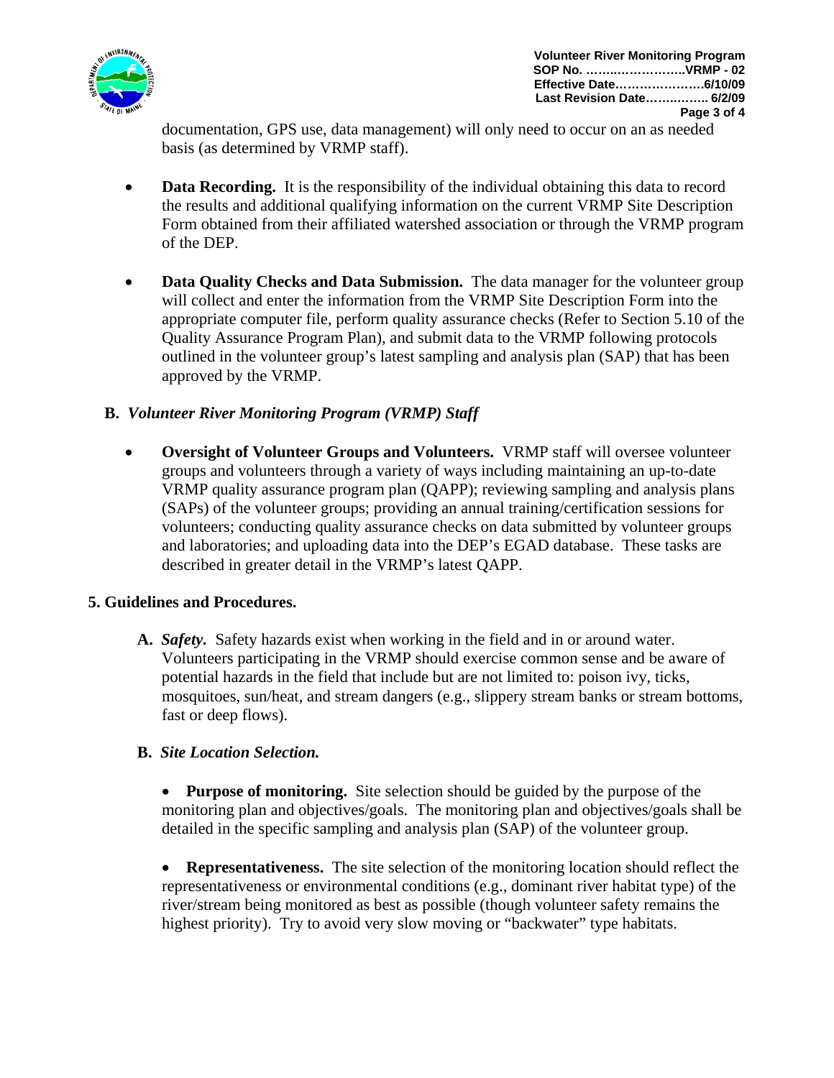![](_page_2_Picture_0.jpeg)

documentation, GPS use, data management) will only need to occur on an as needed basis (as determined by VRMP staff).

- **Data Recording.** It is the responsibility of the individual obtaining this data to record the results and additional qualifying information on the current VRMP Site Description Form obtained from their affiliated watershed association or through the VRMP program of the DEP.
- **Data Quality Checks and Data Submission.** The data manager for the volunteer group will collect and enter the information from the VRMP Site Description Form into the appropriate computer file, perform quality assurance checks (Refer to Section 5.10 of the Quality Assurance Program Plan), and submit data to the VRMP following protocols outlined in the volunteer group's latest sampling and analysis plan (SAP) that has been approved by the VRMP.

### **B.** *Volunteer River Monitoring Program (VRMP) Staff*

• **Oversight of Volunteer Groups and Volunteers.** VRMP staff will oversee volunteer groups and volunteers through a variety of ways including maintaining an up-to-date VRMP quality assurance program plan (QAPP); reviewing sampling and analysis plans (SAPs) of the volunteer groups; providing an annual training/certification sessions for volunteers; conducting quality assurance checks on data submitted by volunteer groups and laboratories; and uploading data into the DEP's EGAD database. These tasks are described in greater detail in the VRMP's latest QAPP.

#### **5. Guidelines and Procedures.**

**A.** *Safety.* Safety hazards exist when working in the field and in or around water. Volunteers participating in the VRMP should exercise common sense and be aware of potential hazards in the field that include but are not limited to: poison ivy, ticks, mosquitoes, sun/heat, and stream dangers (e.g., slippery stream banks or stream bottoms, fast or deep flows).

#### **B.** *Site Location Selection.*

• **Purpose of monitoring.** Site selection should be guided by the purpose of the monitoring plan and objectives/goals. The monitoring plan and objectives/goals shall be detailed in the specific sampling and analysis plan (SAP) of the volunteer group.

**Representativeness.** The site selection of the monitoring location should reflect the representativeness or environmental conditions (e.g., dominant river habitat type) of the river/stream being monitored as best as possible (though volunteer safety remains the highest priority). Try to avoid very slow moving or "backwater" type habitats.